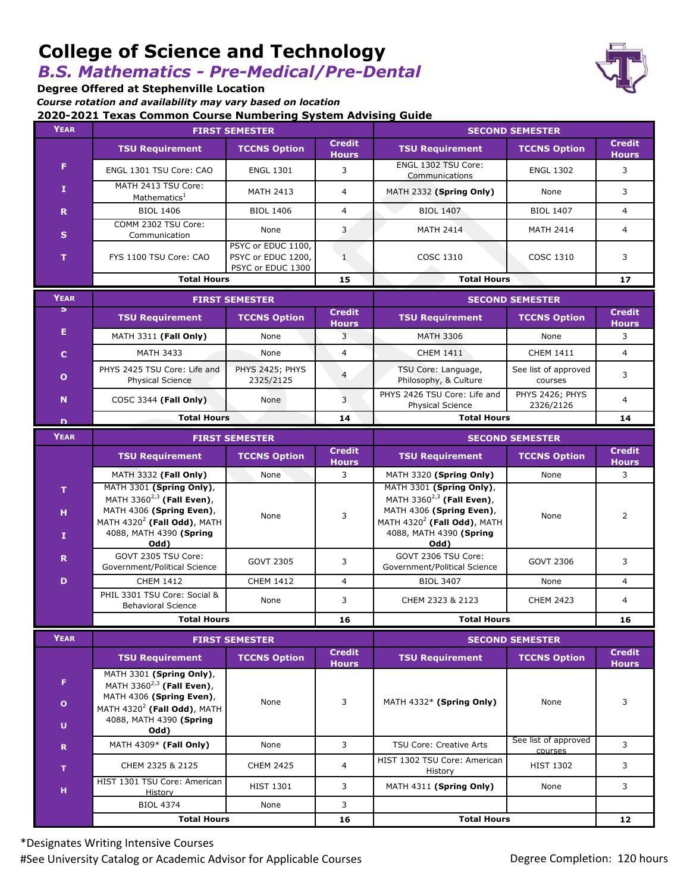# **College of Science and Technology**

## *B.S. Mathematics - Pre-Medical/Pre-Dental*

**Degree Offered at Stephenville Location**

*Course rotation and availability may vary based on location*

**2020-2021 Texas Common Course Numbering System Advising Guide**

| YEAR         | <b>FIRST SEMESTER</b>                                                                                                                                              |                                                               |                               | <b>SECOND SEMESTER</b>                                                                                                                                                      |                                 |                               |
|--------------|--------------------------------------------------------------------------------------------------------------------------------------------------------------------|---------------------------------------------------------------|-------------------------------|-----------------------------------------------------------------------------------------------------------------------------------------------------------------------------|---------------------------------|-------------------------------|
|              | <b>TSU Requirement</b>                                                                                                                                             | <b>TCCNS Option</b>                                           | <b>Credit</b><br><b>Hours</b> | <b>TSU Requirement</b>                                                                                                                                                      | <b>TCCNS Option</b>             | <b>Credit</b><br><b>Hours</b> |
| F            | ENGL 1301 TSU Core: CAO                                                                                                                                            | <b>ENGL 1301</b>                                              | 3                             | ENGL 1302 TSU Core:<br>Communications                                                                                                                                       | <b>ENGL 1302</b>                | 3                             |
| I.           | MATH 2413 TSU Core:<br>Mathematics <sup>1</sup>                                                                                                                    | <b>MATH 2413</b>                                              | $\overline{4}$                | MATH 2332 (Spring Only)                                                                                                                                                     | None                            | 3                             |
| R            | <b>BIOL 1406</b>                                                                                                                                                   | <b>BIOL 1406</b>                                              | $\overline{4}$                | <b>BIOL 1407</b>                                                                                                                                                            | <b>BIOL 1407</b>                | $\overline{4}$                |
| S            | COMM 2302 TSU Core:<br>Communication                                                                                                                               | None                                                          | 3                             | <b>MATH 2414</b>                                                                                                                                                            | <b>MATH 2414</b>                | $\overline{4}$                |
| T.           | FYS 1100 TSU Core: CAO                                                                                                                                             | PSYC or EDUC 1100,<br>PSYC or EDUC 1200,<br>PSYC or EDUC 1300 | $\mathbf{1}$                  | COSC 1310                                                                                                                                                                   | <b>COSC 1310</b>                | 3                             |
|              | <b>Total Hours</b>                                                                                                                                                 |                                                               | 15                            | <b>Total Hours</b>                                                                                                                                                          |                                 | 17                            |
| <b>YEAR</b>  | <b>FIRST SEMESTER</b>                                                                                                                                              |                                                               |                               | <b>SECOND SEMESTER</b>                                                                                                                                                      |                                 |                               |
| $\mathbf{z}$ | <b>TSU Requirement</b>                                                                                                                                             | <b>TCCNS Option</b>                                           | <b>Credit</b><br><b>Hours</b> | <b>TSU Requirement</b>                                                                                                                                                      | <b>TCCNS Option</b>             | <b>Credit</b><br><b>Hours</b> |
| Е            | MATH 3311 (Fall Only)                                                                                                                                              | None                                                          | 3                             | <b>MATH 3306</b>                                                                                                                                                            | None                            | 3                             |
| $\mathbf{C}$ | <b>MATH 3433</b>                                                                                                                                                   | None                                                          | $\overline{4}$                | <b>CHEM 1411</b>                                                                                                                                                            | <b>CHEM 1411</b>                | $\overline{4}$                |
| $\mathbf{o}$ | PHYS 2425 TSU Core: Life and<br><b>Physical Science</b>                                                                                                            | PHYS 2425; PHYS<br>2325/2125                                  | $\overline{4}$                | TSU Core: Language,<br>Philosophy, & Culture                                                                                                                                | See list of approved<br>courses | 3                             |
| N            | COSC 3344 (Fall Only)                                                                                                                                              | None                                                          | 3                             | PHYS 2426 TSU Core: Life and<br>Physical Science                                                                                                                            | PHYS 2426; PHYS<br>2326/2126    | $\overline{4}$                |
| D            | <b>Total Hours</b>                                                                                                                                                 |                                                               | 14                            | <b>Total Hours</b>                                                                                                                                                          |                                 | 14                            |
| <b>YEAR</b>  | <b>FIRST SEMESTER</b>                                                                                                                                              |                                                               |                               | <b>SECOND SEMESTER</b>                                                                                                                                                      |                                 |                               |
|              | <b>TSU Requirement</b>                                                                                                                                             | <b>TCCNS Option</b>                                           | <b>Credit</b><br><b>Hours</b> | <b>TSU Requirement</b>                                                                                                                                                      | <b>TCCNS Option</b>             | <b>Credit</b><br><b>Hours</b> |
|              | MATH 3332 (Fall Only)                                                                                                                                              | None                                                          | 3                             | MATH 3320 (Spring Only)                                                                                                                                                     | None                            | 3                             |
| T.<br>н<br>1 | MATH 3301 (Spring Only),<br>MATH 3360 <sup>2,3</sup> (Fall Even),<br>MATH 4306 (Spring Even),<br>MATH $4320^2$ (Fall Odd), MATH<br>4088, MATH 4390 (Spring<br>Odd) | None                                                          | 3                             | MATH 3301 (Spring Only),<br>MATH 3360 <sup>2,3</sup> (Fall Even),<br>MATH 4306 (Spring Even),<br>MATH 4320 <sup>2</sup> (Fall Odd), MATH<br>4088, MATH 4390 (Spring<br>Odd) | None                            | 2                             |
| R            | GOVT 2305 TSU Core:<br>Government/Political Science                                                                                                                | <b>GOVT 2305</b>                                              | 3                             | GOVT 2306 TSU Core:<br>Government/Political Science                                                                                                                         | GOVT 2306                       | 3                             |
| D            | <b>CHEM 1412</b>                                                                                                                                                   | <b>CHEM 1412</b>                                              | $\overline{4}$                | <b>BIOL 3407</b>                                                                                                                                                            | None                            | $\overline{4}$                |
|              | PHIL 3301 TSU Core: Social &<br><b>Behavioral Science</b>                                                                                                          | None                                                          | 3                             | CHEM 2323 & 2123                                                                                                                                                            | <b>CHEM 2423</b>                | 4                             |
|              | <b>Total Hours</b>                                                                                                                                                 |                                                               | 16                            | <b>Total Hours</b>                                                                                                                                                          |                                 | 16                            |
| <b>YEAR</b>  | <b>FIRST SEMESTER</b>                                                                                                                                              |                                                               |                               | <b>SECOND SEMESTER</b>                                                                                                                                                      |                                 |                               |
|              | <b>TSU Requirement</b>                                                                                                                                             | <b>TCCNS Option</b>                                           | <b>Credit</b><br><b>Hours</b> | <b>TSU Requirement</b>                                                                                                                                                      | <b>TCCNS Option</b>             | <b>Credit</b><br><b>Hours</b> |
| F.           | MATH 3301 (Spring Only),<br>MATH 3360 $^{2,3}$ (Fall Even),                                                                                                        |                                                               |                               |                                                                                                                                                                             |                                 |                               |
| $\bullet$    | MATH 4306 (Spring Even),<br>MATH $4320^2$ (Fall Odd), MATH                                                                                                         | None                                                          | 3                             | MATH 4332* (Spring Only)                                                                                                                                                    | None                            | 3                             |
| U.           | 4088, MATH 4390 (Spring<br>Odd)                                                                                                                                    |                                                               |                               |                                                                                                                                                                             |                                 |                               |
| $\mathbf R$  | MATH 4309* (Fall Only)                                                                                                                                             | None                                                          | 3                             | TSU Core: Creative Arts                                                                                                                                                     | See list of approved<br>courses | 3                             |
| т.           | CHEM 2325 & 2125                                                                                                                                                   | <b>CHEM 2425</b>                                              | 4                             | HIST 1302 TSU Core: American<br>History                                                                                                                                     | <b>HIST 1302</b>                | 3                             |
| н            | HIST 1301 TSU Core: American<br>History                                                                                                                            | <b>HIST 1301</b>                                              | 3                             | MATH 4311 (Spring Only)                                                                                                                                                     | None                            | 3                             |
|              | <b>BIOL 4374</b>                                                                                                                                                   | None                                                          | 3                             |                                                                                                                                                                             |                                 |                               |
|              | <b>Total Hours</b>                                                                                                                                                 |                                                               | 16                            | <b>Total Hours</b>                                                                                                                                                          |                                 | 12 <sub>2</sub>               |

\*Designates Writing Intensive Courses #See University Catalog or Academic Advisor for Applicable Courses **Degree Completion: 120 hours** Degree Completion: 120 hours